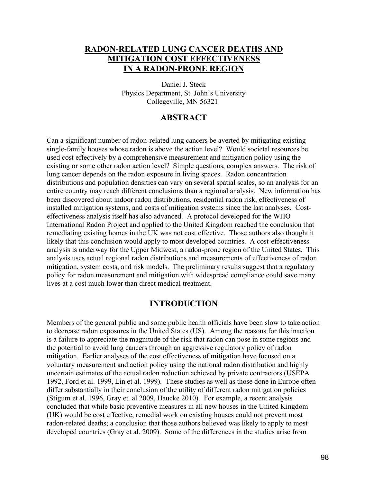### **RADON-RELATED LUNG CANCER DEATHS AND MITIGATION COST EFFECTIVENESS IN A RADON-PRONE REGION**

Daniel J. Steck Physics Department, St. John's University Collegeville, MN 56321

### **ABSTRACT**

Can a significant number of radon-related lung cancers be averted by mitigating existing single-family houses whose radon is above the action level? Would societal resources be used cost effectively by a comprehensive measurement and mitigation policy using the existing or some other radon action level? Simple questions, complex answers. The risk of lung cancer depends on the radon exposure in living spaces. Radon concentration distributions and population densities can vary on several spatial scales, so an analysis for an entire country may reach different conclusions than a regional analysis. New information has been discovered about indoor radon distributions, residential radon risk, effectiveness of installed mitigation systems, and costs of mitigation systems since the last analyses. Costeffectiveness analysis itself has also advanced. A protocol developed for the WHO International Radon Project and applied to the United Kingdom reached the conclusion that remediating existing homes in the UK was not cost effective. Those authors also thought it likely that this conclusion would apply to most developed countries. A cost-effectiveness analysis is underway for the Upper Midwest, a radon-prone region of the United States. This analysis uses actual regional radon distributions and measurements of effectiveness of radon mitigation, system costs, and risk models. The preliminary results suggest that a regulatory policy for radon measurement and mitigation with widespread compliance could save many lives at a cost much lower than direct medical treatment.

### **INTRODUCTION**

Members of the general public and some public health officials have been slow to take action to decrease radon exposures in the United States (US). Among the reasons for this inaction is a failure to appreciate the magnitude of the risk that radon can pose in some regions and the potential to avoid lung cancers through an aggressive regulatory policy of radon mitigation. Earlier analyses of the cost effectiveness of mitigation have focused on a voluntary measurement and action policy using the national radon distribution and highly uncertain estimates of the actual radon reduction achieved by private contractors (USEPA 1992, Ford et al. 1999, Lin et al. 1999). These studies as well as those done in Europe often differ substantially in their conclusion of the utility of different radon mitigation policies (Stigum et al. 1996, Gray et. al 2009, Haucke 2010). For example, a recent analysis concluded that while basic preventive measures in all new houses in the United Kingdom (UK) would be cost effective, remedial work on existing houses could not prevent most radon-related deaths; a conclusion that those authors believed was likely to apply to most developed countries (Gray et al. 2009). Some of the differences in the studies arise from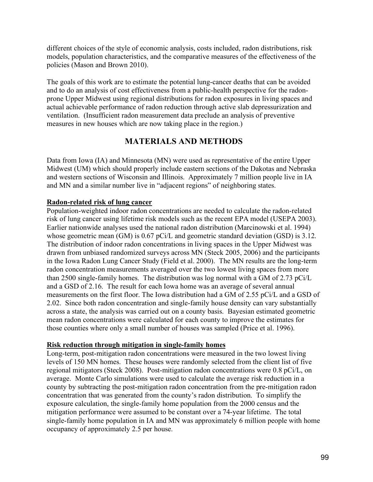different choices of the style of economic analysis, costs included, radon distributions, risk models, population characteristics, and the comparative measures of the effectiveness of the policies (Mason and Brown 2010).

The goals of this work are to estimate the potential lung-cancer deaths that can be avoided and to do an analysis of cost effectiveness from a public-health perspective for the radonprone Upper Midwest using regional distributions for radon exposures in living spaces and actual achievable performance of radon reduction through active slab depressurization and ventilation. (Insufficient radon measurement data preclude an analysis of preventive measures in new houses which are now taking place in the region.)

# **MATERIALS AND METHODS**

Data from Iowa (IA) and Minnesota (MN) were used as representative of the entire Upper Midwest (UM) which should properly include eastern sections of the Dakotas and Nebraska and western sections of Wisconsin and Illinois. Approximately 7 million people live in IA and MN and a similar number live in "adjacent regions" of neighboring states.

### **Radon-related risk of lung cancer**

Population-weighted indoor radon concentrations are needed to calculate the radon-related risk of lung cancer using lifetime risk models such as the recent EPA model (USEPA 2003). Earlier nationwide analyses used the national radon distribution (Marcinowski et al. 1994) whose geometric mean (GM) is 0.67 pCi/L and geometric standard deviation (GSD) is 3.12. The distribution of indoor radon concentrations in living spaces in the Upper Midwest was drawn from unbiased randomized surveys across MN (Steck 2005, 2006) and the participants in the Iowa Radon Lung Cancer Study (Field et al. 2000). The MN results are the long-term radon concentration measurements averaged over the two lowest living spaces from more than 2500 single-family homes. The distribution was log normal with a GM of 2.73 pCi/L and a GSD of 2.16. The result for each Iowa home was an average of several annual measurements on the first floor. The Iowa distribution had a GM of 2.55 pCi/L and a GSD of 2.02. Since both radon concentration and single-family house density can vary substantially across a state, the analysis was carried out on a county basis. Bayesian estimated geometric mean radon concentrations were calculated for each county to improve the estimates for those counties where only a small number of houses was sampled (Price et al. 1996).

### **Risk reduction through mitigation in single-family homes**

Long-term, post-mitigation radon concentrations were measured in the two lowest living levels of 150 MN homes. These houses were randomly selected from the client list of five regional mitigators (Steck 2008). Post-mitigation radon concentrations were 0.8 pCi/L, on average. Monte Carlo simulations were used to calculate the average risk reduction in a county by subtracting the post-mitigation radon concentration from the pre-mitigation radon concentration that was generated from the county's radon distribution. To simplify the exposure calculation, the single-family home population from the 2000 census and the mitigation performance were assumed to be constant over a 74-year lifetime. The total single-family home population in IA and MN was approximately 6 million people with home occupancy of approximately 2.5 per house.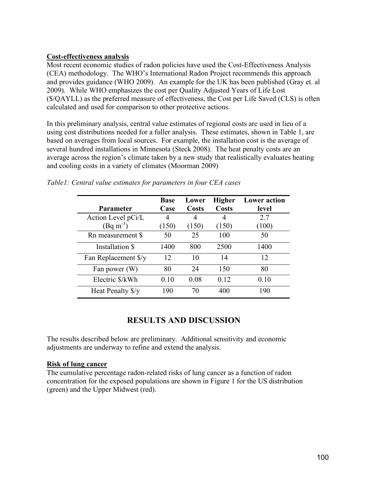### **Cost-effectiveness analysis**

Most recent economic studies of radon policies have used the Cost-Effectiveness Analysis (CEA) methodology. The WHO's International Radon Project recommends this approach and provides guidance (WHO 2009). An example for the UK has been published (Gray et. al 2009). While WHO emphasizes the cost per Quality Adjusted Years of Life Lost (\$/QAYLL) as the preferred measure of effectiveness, the Cost per Life Saved (CLS) is often calculated and used for comparison to other protective actions.

In this preliminary analysis, central value estimates of regional costs are used in lieu of a using cost distributions needed for a fuller analysis. These estimates, shown in Table 1, are based on averages from local sources. For example, the installation cost is the average of several hundred installations in Minnesota (Steck 2008). The heat penalty costs are an average across the region's climate taken by a new study that realistically evaluates heating and cooling costs in a variety of climates (Moorman 2009)

| <b>Parameter</b>      | <b>Base</b><br>Case | Lower<br><b>Costs</b> | <b>Higher</b><br><b>Costs</b> | <b>Lower</b> action<br>level |
|-----------------------|---------------------|-----------------------|-------------------------------|------------------------------|
| Action Level pCi/L    | 4                   | 4                     | 4                             | 2.7                          |
| $(Bq \text{ m}^{-3})$ | (150)               | (150)                 | (150)                         | (100)                        |
| Rn measurement \$     | 50                  | 25                    | 100                           | 50                           |
| Installation \$       | 1400                | 800                   | 2500                          | 1400                         |
| Fan Replacement \$/y  | 12                  | 10                    | 14                            | 12                           |
| Fan power (W)         | 80                  | 24                    | 150                           | 80                           |
| Electric \$/kWh       | 0.10                | 0.08                  | 0.12                          | 0.10                         |
| Heat Penalty \$/y     | 190                 | 70                    | 400                           | 190                          |

*Table1: Central value estimates for parameters in four CEA cases*

## **RESULTS AND DISCUSSION**

The results described below are preliminary. Additional sensitivity and economic adjustments are underway to refine and extend the analysis.

### **Risk of lung cancer**

The cumulative percentage radon-related risks of lung cancer as a function of radon concentration for the exposed populations are shown in Figure 1 for the US distribution (green) and the Upper Midwest (red).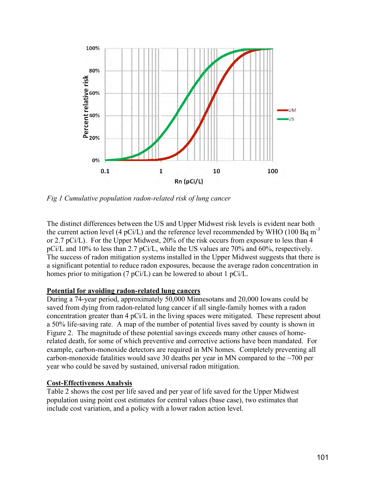

*Fig 1 Cumulative population radon-related risk of lung cancer*

The distinct differences between the US and Upper Midwest risk levels is evident near both the current action level (4 pCi/L) and the reference level recommended by WHO (100 Bq m<sup>-3</sup> or 2.7 pCi/L). For the Upper Midwest, 20% of the risk occurs from exposure to less than 4 pCi/L and 10% to less than 2.7 pCi/L, while the US values are 70% and 60%, respectively. The success of radon mitigation systems installed in the Upper Midwest suggests that there is a significant potential to reduce radon exposures, because the average radon concentration in homes prior to mitigation (7 pCi/L) can be lowered to about 1 pCi/L.

### **Potential for avoiding radon-related lung cancers**

During a 74-year period, approximately 50,000 Minnesotans and 20,000 Iowans could be saved from dying from radon-related lung cancer if all single-family homes with a radon concentration greater than 4 pCi/L in the living spaces were mitigated. These represent about a 50% life-saving rate. A map of the number of potential lives saved by county is shown in Figure 2. The magnitude of these potential savings exceeds many other causes of homerelated death, for some of which preventive and corrective actions have been mandated. For example, carbon-monoxide detectors are required in MN homes. Completely preventing all carbon-monoxide fatalities would save 30 deaths per year in MN compared to the  $\sim$ 700 per year who could be saved by sustained, universal radon mitigation.

### **Cost-Effectiveness Analysis**

Table 2 shows the cost per life saved and per year of life saved for the Upper Midwest population using point cost estimates for central values (base case), two estimates that include cost variation, and a policy with a lower radon action level.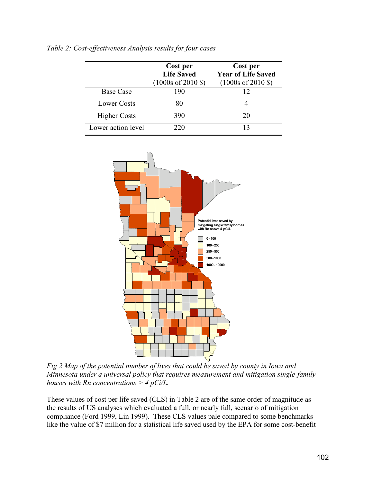|                     | Cost per<br><b>Life Saved</b><br>$(1000s \text{ of } 2010 \text{$ ) | Cost per<br><b>Year of Life Saved</b><br>$(1000s \text{ of } 2010 \text{$ ) |
|---------------------|---------------------------------------------------------------------|-----------------------------------------------------------------------------|
| <b>Base Case</b>    | 190                                                                 |                                                                             |
| Lower Costs         | 80                                                                  |                                                                             |
| <b>Higher Costs</b> | 390                                                                 | 20                                                                          |
| Lower action level  | 220                                                                 |                                                                             |



*Fig 2 Map of the potential number of lives that could be saved by county in Iowa and Minnesota under a universal policy that requires measurement and mitigation single-family houses* with Rn concentrations  $\geq 4$  pCi/L.

These values of cost per life saved (CLS) in Table 2 are of the same order of magnitude as the results of US analyses which evaluated a full, or nearly full, scenario of mitigation compliance (Ford 1999, Lin 1999). These CLS values pale compared to some benchmarks like the value of \$7 million for a statistical life saved used by the EPA for some cost-benefit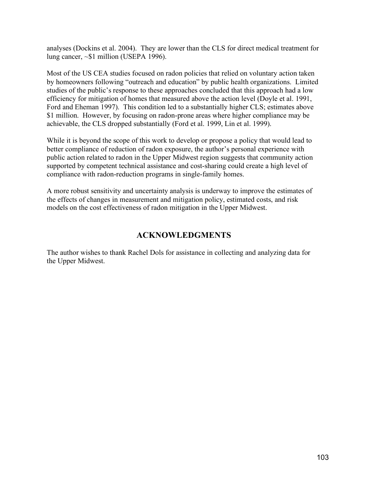analyses (Dockins et al. 2004). They are lower than the CLS for direct medical treatment for lung cancer, ~\$1 million (USEPA 1996).

Most of the US CEA studies focused on radon policies that relied on voluntary action taken by homeowners following "outreach and education" by public health organizations. Limited studies of the public's response to these approaches concluded that this approach had a low efficiency for mitigation of homes that measured above the action level (Doyle et al. 1991, Ford and Eheman 1997). This condition led to a substantially higher CLS; estimates above \$1 million. However, by focusing on radon-prone areas where higher compliance may be achievable, the CLS dropped substantially (Ford et al. 1999, Lin et al. 1999).

While it is beyond the scope of this work to develop or propose a policy that would lead to better compliance of reduction of radon exposure, the author's personal experience with public action related to radon in the Upper Midwest region suggests that community action supported by competent technical assistance and cost-sharing could create a high level of compliance with radon-reduction programs in single-family homes.

A more robust sensitivity and uncertainty analysis is underway to improve the estimates of the effects of changes in measurement and mitigation policy, estimated costs, and risk models on the cost effectiveness of radon mitigation in the Upper Midwest.

## **ACKNOWLEDGMENTS**

The author wishes to thank Rachel Dols for assistance in collecting and analyzing data for the Upper Midwest.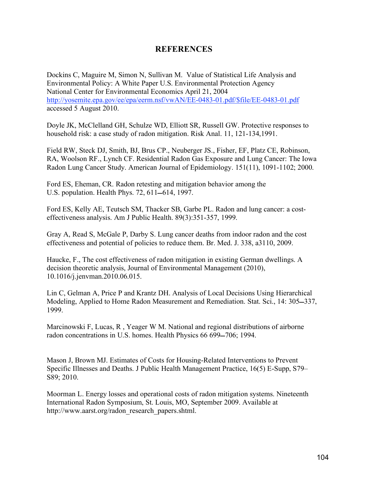## **REFERENCES**

Dockins C, Maguire M, Simon N, Sullivan M. Value of Statistical Life Analysis and Environmental Policy: A White Paper U.S. Environmental Protection Agency National Center for Environmental Economics April 21, 2004 http://yosemite.epa.gov/ee/epa/eerm.nsf/vwAN/EE-0483-01.pdf/\$file/EE-0483-01.pdf accessed 5 August 2010.

Doyle JK, McClelland GH, Schulze WD, Elliott SR, Russell GW. Protective responses to household risk: a case study of radon mitigation. Risk Anal. 11, 121-134,1991.

Field RW, Steck DJ, Smith, BJ, Brus CP., Neuberger JS., Fisher, EF, Platz CE, Robinson, RA, Woolson RF., Lynch CF. Residential Radon Gas Exposure and Lung Cancer: The Iowa Radon Lung Cancer Study. American Journal of Epidemiology. 151(11), 1091-1102; 2000.

Ford ES, Eheman, CR. Radon retesting and mitigation behavior among the U.S. population. Health Phys. 72, 611–614, 1997.

Ford ES, Kelly AE, Teutsch SM, Thacker SB, Garbe PL. Radon and lung cancer: a costeffectiveness analysis. Am J Public Health. 89(3):351-357, 1999.

Gray A, Read S, McGale P, Darby S. Lung cancer deaths from indoor radon and the cost effectiveness and potential of policies to reduce them. Br. Med. J. 338, a3110, 2009.

Haucke, F., The cost effectiveness of radon mitigation in existing German dwellings. A decision theoretic analysis, Journal of Environmental Management (2010), 10.1016/j.jenvman.2010.06.015.

Lin C, Gelman A, Price P and Krantz DH. Analysis of Local Decisions Using Hierarchical Modeling, Applied to Home Radon Measurement and Remediation. Stat. Sci., 14: 305–337, 1999.

Marcinowski F, Lucas, R , Yeager W M. National and regional distributions of airborne radon concentrations in U.S. homes. Health Physics 66 699–706; 1994.

Mason J, Brown MJ. Estimates of Costs for Housing-Related Interventions to Prevent Specific Illnesses and Deaths. J Public Health Management Practice, 16(5) E-Supp, S79– S89; 2010.

Moorman L. Energy losses and operational costs of radon mitigation systems. Nineteenth International Radon Symposium, St. Louis, MO, September 2009. Available at http://www.aarst.org/radon\_research\_papers.shtml.